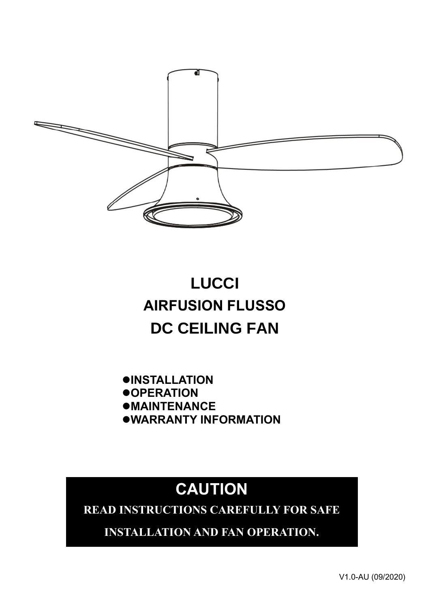

# **LUCCI AIRFUSION FLUSSO DC CEILING FAN**

⚫**INSTALLATION** ⚫**OPERATION** ⚫**MAINTENANCE** ⚫**WARRANTY INFORMATION**

# **CAUTION**

**READ INSTRUCTIONS CAREFULLY FOR SAFE** 

**INSTALLATION AND FAN OPERATION.**

V1.0-AU (09/2020)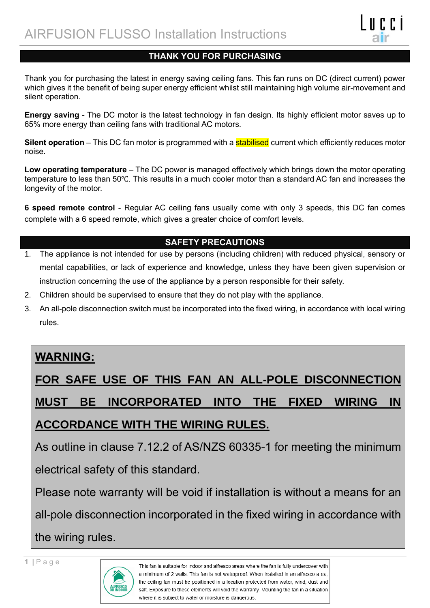#### **THANK YOU FOR PURCHASING**

Thank you for purchasing the latest in energy saving ceiling fans. This fan runs on DC (direct current) power which gives it the benefit of being super energy efficient whilst still maintaining high volume air-movement and silent operation.

**Energy saving** - The DC motor is the latest technology in fan design. Its highly efficient motor saves up to 65% more energy than ceiling fans with traditional AC motors.

**Silent operation** – This DC fan motor is programmed with a **stabilised** current which efficiently reduces motor noise.

**Low operating temperature** – The DC power is managed effectively which brings down the motor operating temperature to less than 50℃. This results in a much cooler motor than a standard AC fan and increases the longevity of the motor.

**6 speed remote control** - Regular AC ceiling fans usually come with only 3 speeds, this DC fan comes complete with a 6 speed remote, which gives a greater choice of comfort levels.

#### **SAFETY PRECAUTIONS**

- 1. The appliance is not intended for use by persons (including children) with reduced physical, sensory or mental capabilities, or lack of experience and knowledge, unless they have been given supervision or instruction concerning the use of the appliance by a person responsible for their safety.
- 2. Children should be supervised to ensure that they do not play with the appliance.
- 3. An all-pole disconnection switch must be incorporated into the fixed wiring, in accordance with local wiring rules.

### **WARNING:**

**FOR SAFE USE OF THIS FAN AN ALL-POLE DISCONNECTION MUST BE INCORPORATED INTO THE FIXED WIRING IN ACCORDANCE WITH THE WIRING RULES.**

As outline in clause 7.12.2 of AS/NZS 60335-1 for meeting the minimum electrical safety of this standard.

Please note warranty will be void if installation is without a means for an all-pole disconnection incorporated in the fixed wiring in accordance with the wiring rules.

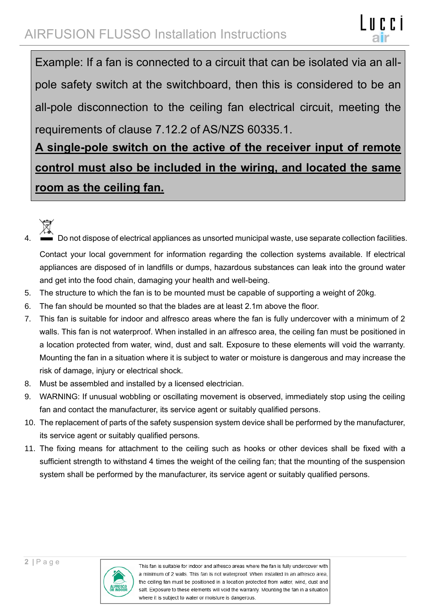Example: If a fan is connected to a circuit that can be isolated via an allpole safety switch at the switchboard, then this is considered to be an all-pole disconnection to the ceiling fan electrical circuit, meeting the requirements of clause 7.12.2 of AS/NZS 60335.1.

## **A single-pole switch on the active of the receiver input of remote control must also be included in the wiring, and located the same room as the ceiling fan.**



- 4. Do not dispose of electrical appliances as unsorted municipal waste, use separate collection facilities. Contact your local government for information regarding the collection systems available. If electrical appliances are disposed of in landfills or dumps, hazardous substances can leak into the ground water and get into the food chain, damaging your health and well-being.
- 5. The structure to which the fan is to be mounted must be capable of supporting a weight of 20kg.
- 6. The fan should be mounted so that the blades are at least 2.1m above the floor.
- 7. This fan is suitable for indoor and alfresco areas where the fan is fully undercover with a minimum of 2 walls. This fan is not waterproof. When installed in an alfresco area, the ceiling fan must be positioned in a location protected from water, wind, dust and salt. Exposure to these elements will void the warranty. Mounting the fan in a situation where it is subject to water or moisture is dangerous and may increase the risk of damage, injury or electrical shock.
- 8. Must be assembled and installed by a licensed electrician.
- 9. WARNING: If unusual wobbling or oscillating movement is observed, immediately stop using the ceiling fan and contact the manufacturer, its service agent or suitably qualified persons.
- 10. The replacement of parts of the safety suspension system device shall be performed by the manufacturer, its service agent or suitably qualified persons.
- 11. The fixing means for attachment to the ceiling such as hooks or other devices shall be fixed with a sufficient strength to withstand 4 times the weight of the ceiling fan; that the mounting of the suspension system shall be performed by the manufacturer, its service agent or suitably qualified persons.

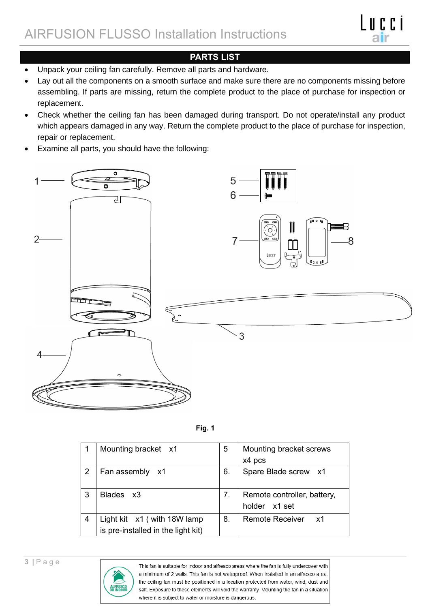## AIRFUSION FLUSSO Installation Instructions



#### **PARTS LIST**

- Unpack your ceiling fan carefully. Remove all parts and hardware.
- Lay out all the components on a smooth surface and make sure there are no components missing before assembling. If parts are missing, return the complete product to the place of purchase for inspection or replacement.
- Check whether the ceiling fan has been damaged during transport. Do not operate/install any product which appears damaged in any way. Return the complete product to the place of purchase for inspection, repair or replacement.
- Examine all parts, you should have the following:





|                | Mounting bracket x1                                               | 5  | Mounting bracket screws<br>x4 pcs            |
|----------------|-------------------------------------------------------------------|----|----------------------------------------------|
| $\overline{2}$ | Fan assembly x1                                                   | 6. | Spare Blade screw x1                         |
| 3              | Blades x3                                                         | 7. | Remote controller, battery,<br>holder x1 set |
| 4              | Light kit x1 (with 18W lamp<br>is pre-installed in the light kit) | 8. | <b>Remote Receiver</b><br>- x1               |

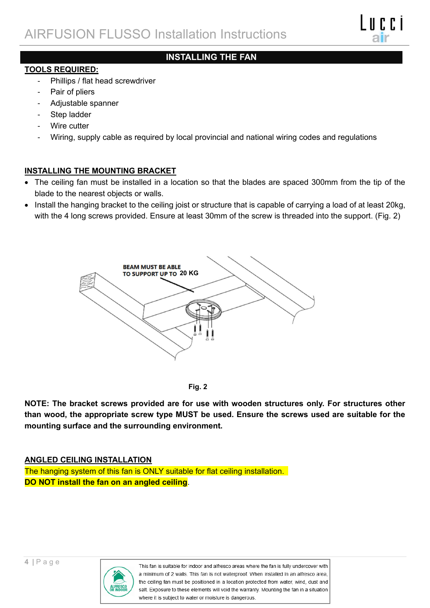#### **INSTALLING THE FAN**

#### **TOOLS REQUIRED:**

- Phillips / flat head screwdriver
- Pair of pliers
- Adjustable spanner
- Step ladder
- Wire cutter
- Wiring, supply cable as required by local provincial and national wiring codes and regulations

#### **INSTALLING THE MOUNTING BRACKET**

- The ceiling fan must be installed in a location so that the blades are spaced 300mm from the tip of the blade to the nearest objects or walls.
- Install the hanging bracket to the ceiling joist or structure that is capable of carrying a load of at least 20kg, with the 4 long screws provided. Ensure at least 30mm of the screw is threaded into the support. (Fig. 2)





**NOTE: The bracket screws provided are for use with wooden structures only. For structures other than wood, the appropriate screw type MUST be used. Ensure the screws used are suitable for the mounting surface and the surrounding environment.**

#### **ANGLED CEILING INSTALLATION**

The hanging system of this fan is ONLY suitable for flat ceiling installation. **DO NOT install the fan on an angled ceiling**.

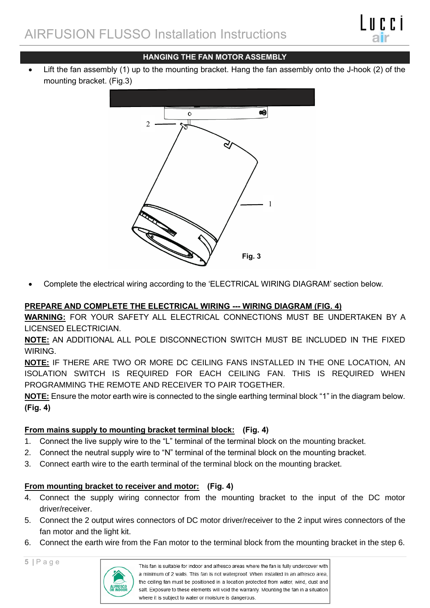#### **HANGING THE FAN MOTOR ASSEMBLY**

• Lift the fan assembly (1) up to the mounting bracket. Hang the fan assembly onto the J-hook (2) of the mounting bracket. (Fig.3)



• Complete the electrical wiring according to the 'ELECTRICAL WIRING DIAGRAM' section below.

#### **PREPARE AND COMPLETE THE ELECTRICAL WIRING --- WIRING DIAGRAM (FIG. 4)**

**WARNING:** FOR YOUR SAFETY ALL ELECTRICAL CONNECTIONS MUST BE UNDERTAKEN BY A LICENSED ELECTRICIAN.

**NOTE:** AN ADDITIONAL ALL POLE DISCONNECTION SWITCH MUST BE INCLUDED IN THE FIXED WIRING.

**NOTE:** IF THERE ARE TWO OR MORE DC CEILING FANS INSTALLED IN THE ONE LOCATION, AN ISOLATION SWITCH IS REQUIRED FOR EACH CEILING FAN. THIS IS REQUIRED WHEN PROGRAMMING THE REMOTE AND RECEIVER TO PAIR TOGETHER.

**NOTE:** Ensure the motor earth wire is connected to the single earthing terminal block "1" in the diagram below. **(Fig. 4)**

#### **From mains supply to mounting bracket terminal block: (Fig. 4)**

- 1. Connect the live supply wire to the "L" terminal of the terminal block on the mounting bracket.
- 2. Connect the neutral supply wire to "N" terminal of the terminal block on the mounting bracket.
- 3. Connect earth wire to the earth terminal of the terminal block on the mounting bracket.

#### **From mounting bracket to receiver and motor: (Fig. 4)**

- 4. Connect the supply wiring connector from the mounting bracket to the input of the DC motor driver/receiver.
- 5. Connect the 2 output wires connectors of DC motor driver/receiver to the 2 input wires connectors of the fan motor and the light kit.
- 6. Connect the earth wire from the Fan motor to the terminal block from the mounting bracket in the step 6.

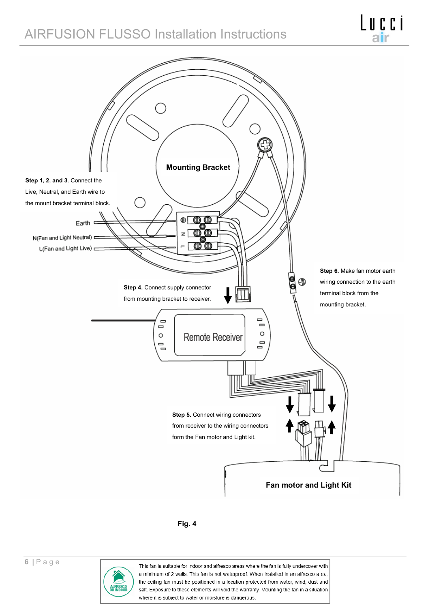## AIRFUSION FLUSSO Installation Instructions





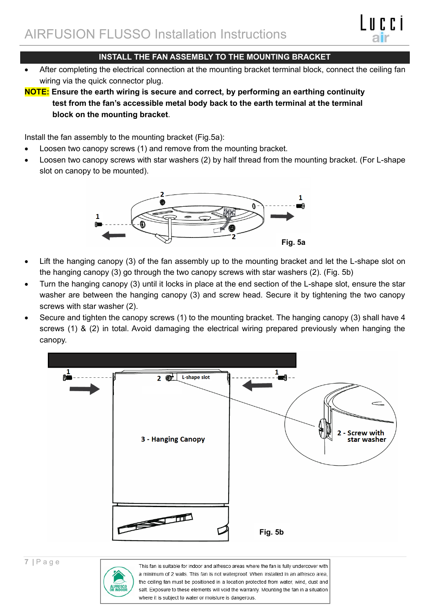

• After completing the electrical connection at the mounting bracket terminal block, connect the ceiling fan wiring via the quick connector plug.

**NOTE: Ensure the earth wiring is secure and correct, by performing an earthing continuity test from the fan's accessible metal body back to the earth terminal at the terminal block on the mounting bracket**.

Install the fan assembly to the mounting bracket (Fig.5a):

- Loosen two canopy screws (1) and remove from the mounting bracket.
- Loosen two canopy screws with star washers (2) by half thread from the mounting bracket. (For L-shape slot on canopy to be mounted).



- Lift the hanging canopy (3) of the fan assembly up to the mounting bracket and let the L-shape slot on the hanging canopy (3) go through the two canopy screws with star washers (2). (Fig. 5b)
- Turn the hanging canopy (3) until it locks in place at the end section of the L-shape slot, ensure the star washer are between the hanging canopy (3) and screw head. Secure it by tightening the two canopy screws with star washer (2).
- Secure and tighten the canopy screws (1) to the mounting bracket. The hanging canopy (3) shall have 4 screws (1) & (2) in total. Avoid damaging the electrical wiring prepared previously when hanging the canopy.



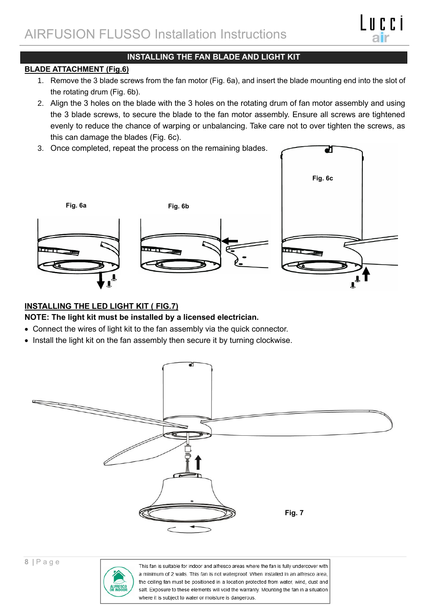#### **INSTALLING THE FAN BLADE AND LIGHT KIT**

#### **BLADE ATTACHMENT (Fig.6)**

- 1. Remove the 3 blade screws from the fan motor (Fig. 6a), and insert the blade mounting end into the slot of the rotating drum (Fig. 6b).
- 2. Align the 3 holes on the blade with the 3 holes on the rotating drum of fan motor assembly and using the 3 blade screws, to secure the blade to the fan motor assembly. Ensure all screws are tightened evenly to reduce the chance of warping or unbalancing. Take care not to over tighten the screws, as this can damage the blades (Fig. 6c).

ਹ

3. Once completed, repeat the process on the remaining blades.



#### **INSTALLING THE LED LIGHT KIT ( FIG.7)**

#### **NOTE: The light kit must be installed by a licensed electrician.**

- Connect the wires of light kit to the fan assembly via the quick connector.
- Install the light kit on the fan assembly then secure it by turning clockwise.



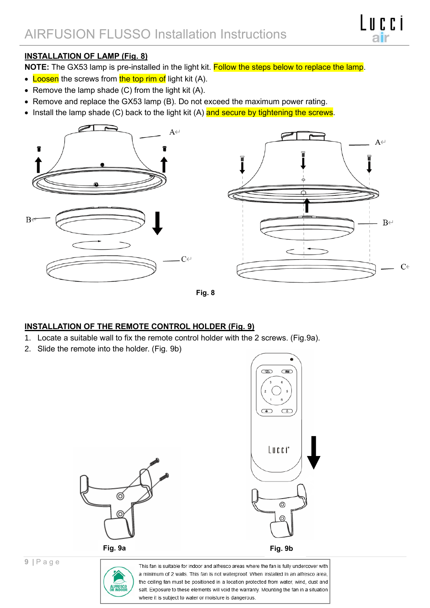

#### **INSTALLATION OF LAMP (Fig. 8)**

**NOTE:** The GX53 lamp is pre-installed in the light kit. Follow the steps below to replace the lamp.

- Loosen the screws from the top rim of light kit (A).
- Remove the lamp shade (C) from the light kit (A).
- Remove and replace the GX53 lamp (B). Do not exceed the maximum power rating.
- Install the lamp shade (C) back to the light kit (A) and secure by tightening the screws.





#### **INSTALLATION OF THE REMOTE CONTROL HOLDER (Fig. 9)**

- 1. Locate a suitable wall to fix the remote control holder with the 2 screws. (Fig.9a).
- 2. Slide the remote into the holder. (Fig. 9b)



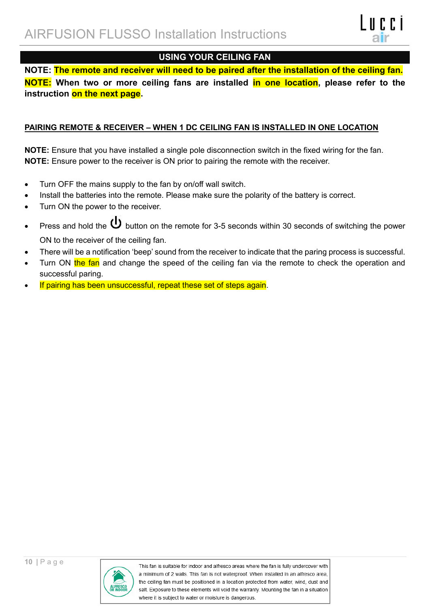

#### **USING YOUR CEILING FAN**

**NOTE: The remote and receiver will need to be paired after the installation of the ceiling fan. NOTE: When two or more ceiling fans are installed in one location, please refer to the instruction on the next page.**

#### **PAIRING REMOTE & RECEIVER – WHEN 1 DC CEILING FAN IS INSTALLED IN ONE LOCATION**

**NOTE:** Ensure that you have installed a single pole disconnection switch in the fixed wiring for the fan. **NOTE:** Ensure power to the receiver is ON prior to pairing the remote with the receiver.

- Turn OFF the mains supply to the fan by on/off wall switch.
- Install the batteries into the remote. Please make sure the polarity of the battery is correct.
- Turn ON the power to the receiver.
- Press and hold the  $\bf{U}$  button on the remote for 3-5 seconds within 30 seconds of switching the power ON to the receiver of the ceiling fan.
- There will be a notification 'beep' sound from the receiver to indicate that the paring process is successful.
- Turn ON the fan and change the speed of the ceiling fan via the remote to check the operation and successful paring.
- If pairing has been unsuccessful, repeat these set of steps again.

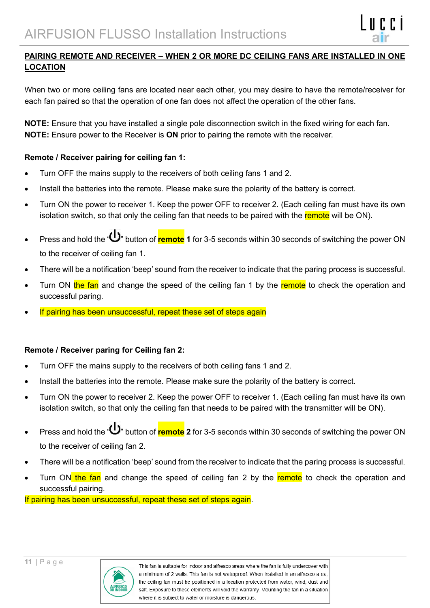

#### **PAIRING REMOTE AND RECEIVER – WHEN 2 OR MORE DC CEILING FANS ARE INSTALLED IN ONE LOCATION**

When two or more ceiling fans are located near each other, you may desire to have the remote/receiver for each fan paired so that the operation of one fan does not affect the operation of the other fans.

**NOTE:** Ensure that you have installed a single pole disconnection switch in the fixed wiring for each fan. **NOTE:** Ensure power to the Receiver is **ON** prior to pairing the remote with the receiver.

#### **Remote / Receiver pairing for ceiling fan 1:**

- Turn OFF the mains supply to the receivers of both ceiling fans 1 and 2.
- Install the batteries into the remote. Please make sure the polarity of the battery is correct.
- Turn ON the power to receiver 1. Keep the power OFF to receiver 2. (Each ceiling fan must have its own isolation switch, so that only the ceiling fan that needs to be paired with the remote will be ON).
- Press and hold the " " button of **remote 1** for 3-5 seconds within 30 seconds of switching the power ON to the receiver of ceiling fan 1.
- There will be a notification 'beep' sound from the receiver to indicate that the paring process is successful.
- Turn ON the fan and change the speed of the ceiling fan 1 by the remote to check the operation and successful paring.
- If pairing has been unsuccessful, repeat these set of steps again

#### **Remote / Receiver paring for Ceiling fan 2:**

- Turn OFF the mains supply to the receivers of both ceiling fans 1 and 2.
- Install the batteries into the remote. Please make sure the polarity of the battery is correct.
- Turn ON the power to receiver 2. Keep the power OFF to receiver 1. (Each ceiling fan must have its own isolation switch, so that only the ceiling fan that needs to be paired with the transmitter will be ON).
- Press and hold the " " button of **remote 2** for 3-5 seconds within 30 seconds of switching the power ON to the receiver of ceiling fan 2.
- There will be a notification 'beep' sound from the receiver to indicate that the paring process is successful.
- Turn ON the fan and change the speed of ceiling fan 2 by the remote to check the operation and successful pairing.

If pairing has been unsuccessful, repeat these set of steps again.

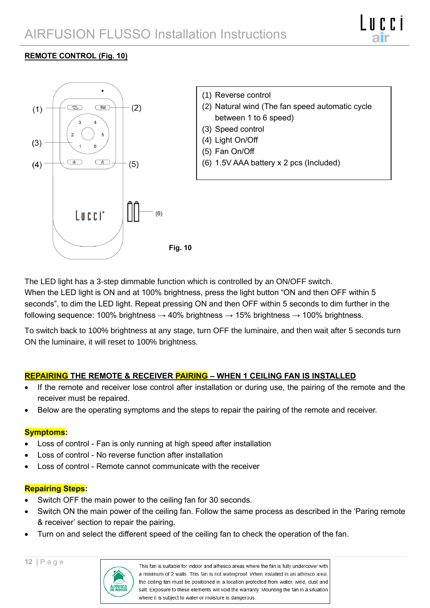#### **REMOTE CONTROL (Fig. 10)**



The LED light has a 3-step dimmable function which is controlled by an ON/OFF switch. When the LED light is ON and at 100% brightness, press the light button "ON and then OFF within 5 seconds", to dim the LED light. Repeat pressing ON and then OFF within 5 seconds to dim further in the following sequence: 100% brightness  $\rightarrow$  40% brightness  $\rightarrow$  15% brightness  $\rightarrow$  100% brightness.

To switch back to 100% brightness at any stage, turn OFF the luminaire, and then wait after 5 seconds turn ON the luminaire, it will reset to 100% brightness.

#### **REPAIRING THE REMOTE & RECEIVER PAIRING – WHEN 1 CEILING FAN IS INSTALLED**

- If the remote and receiver lose control after installation or during use, the pairing of the remote and the receiver must be repaired.
- Below are the operating symptoms and the steps to repair the pairing of the remote and receiver.

#### **Symptoms:**

- Loss of control Fan is only running at high speed after installation
- Loss of control No reverse function after installation
- Loss of control Remote cannot communicate with the receiver

#### **Repairing Steps:**

- Switch OFF the main power to the ceiling fan for 30 seconds.
- Switch ON the main power of the ceiling fan. Follow the same process as described in the 'Paring remote & receiver' section to repair the pairing.
- Turn on and select the different speed of the ceiling fan to check the operation of the fan.

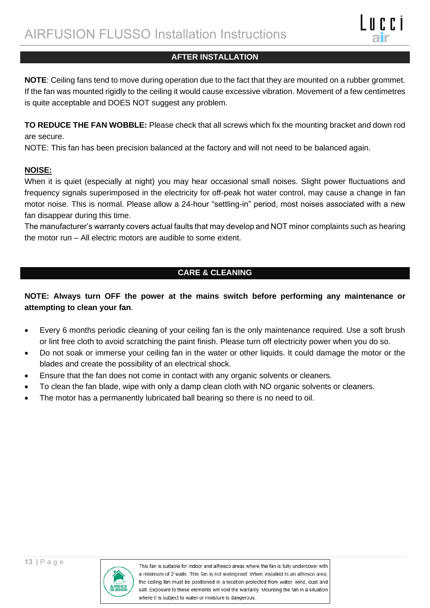#### **AFTER INSTALLATION**

**NOTE**: Ceiling fans tend to move during operation due to the fact that they are mounted on a rubber grommet. If the fan was mounted rigidly to the ceiling it would cause excessive vibration. Movement of a few centimetres is quite acceptable and DOES NOT suggest any problem.

**TO REDUCE THE FAN WOBBLE:** Please check that all screws which fix the mounting bracket and down rod are secure.

NOTE: This fan has been precision balanced at the factory and will not need to be balanced again.

#### **NOISE:**

When it is quiet (especially at night) you may hear occasional small noises. Slight power fluctuations and frequency signals superimposed in the electricity for off-peak hot water control, may cause a change in fan motor noise. This is normal. Please allow a 24-hour "settling-in" period, most noises associated with a new fan disappear during this time.

The manufacturer's warranty covers actual faults that may develop and NOT minor complaints such as hearing the motor run – All electric motors are audible to some extent.

#### **CARE & CLEANING**

#### **NOTE: Always turn OFF the power at the mains switch before performing any maintenance or attempting to clean your fan**.

- Every 6 months periodic cleaning of your ceiling fan is the only maintenance required. Use a soft brush or lint free cloth to avoid scratching the paint finish. Please turn off electricity power when you do so.
- Do not soak or immerse your ceiling fan in the water or other liquids. It could damage the motor or the blades and create the possibility of an electrical shock.
- Ensure that the fan does not come in contact with any organic solvents or cleaners.
- To clean the fan blade, wipe with only a damp clean cloth with NO organic solvents or cleaners.
- The motor has a permanently lubricated ball bearing so there is no need to oil.

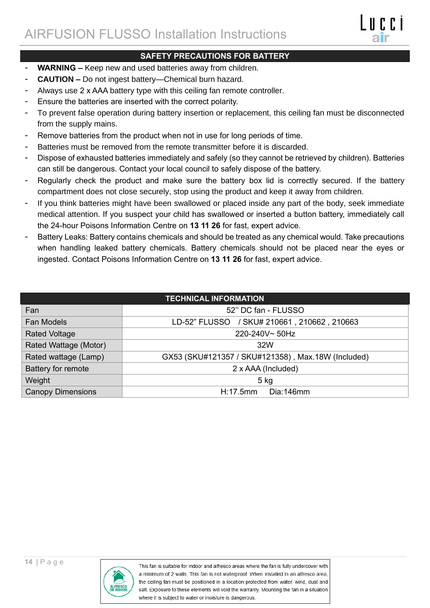- **WARNING –** Keep new and used batteries away from children.
- **CAUTION –** Do not ingest battery—Chemical burn hazard.
- Always use 2 x AAA battery type with this ceiling fan remote controller.
- Ensure the batteries are inserted with the correct polarity.
- To prevent false operation during battery insertion or replacement, this ceiling fan must be disconnected from the supply mains.
- Remove batteries from the product when not in use for long periods of time.
- Batteries must be removed from the remote transmitter before it is discarded.
- Dispose of exhausted batteries immediately and safely (so they cannot be retrieved by children). Batteries can still be dangerous. Contact your local council to safely dispose of the battery.
- Regularly check the product and make sure the battery box lid is correctly secured. If the battery compartment does not close securely, stop using the product and keep it away from children.
- If you think batteries might have been swallowed or placed inside any part of the body, seek immediate medical attention. If you suspect your child has swallowed or inserted a button battery, immediately call the 24-hour Poisons Information Centre on **13 11 26** for fast, expert advice.
- Battery Leaks: Battery contains chemicals and should be treated as any chemical would. Take precautions when handling leaked battery chemicals. Battery chemicals should not be placed near the eyes or ingested. Contact Poisons Information Centre on **13 11 26** for fast, expert advice.

| <b>TECHNICAL INFORMATION</b> |                                                    |  |  |  |
|------------------------------|----------------------------------------------------|--|--|--|
| Fan                          | 52" DC fan - FLUSSO                                |  |  |  |
| <b>Fan Models</b>            | LD-52" FLUSSO / SKU# 210661, 210662, 210663        |  |  |  |
| <b>Rated Voltage</b>         | 220-240V~50Hz                                      |  |  |  |
| Rated Wattage (Motor)        | 32W                                                |  |  |  |
| Rated wattage (Lamp)         | GX53 (SKU#121357 / SKU#121358), Max.18W (Included) |  |  |  |
| Battery for remote           | 2 x AAA (Included)                                 |  |  |  |
| Weight                       | $5$ kg                                             |  |  |  |
| <b>Canopy Dimensions</b>     | Dia:146mm<br>H:17.5mm                              |  |  |  |

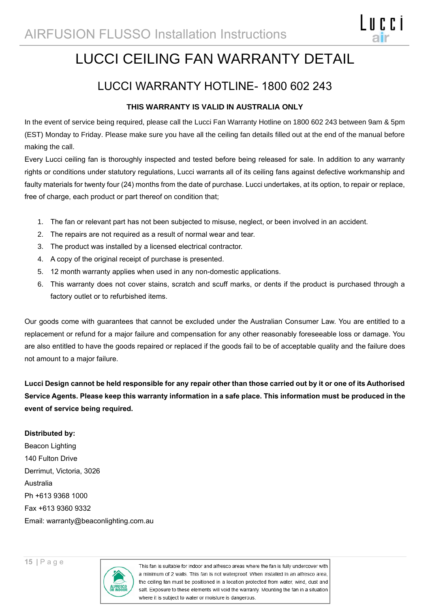## LUCCI CEILING FAN WARRANTY DETAIL

ITECI

### LUCCI WARRANTY HOTLINE- 1800 602 243

#### **THIS WARRANTY IS VALID IN AUSTRALIA ONLY**

In the event of service being required, please call the Lucci Fan Warranty Hotline on 1800 602 243 between 9am & 5pm (EST) Monday to Friday. Please make sure you have all the ceiling fan details filled out at the end of the manual before making the call.

Every Lucci ceiling fan is thoroughly inspected and tested before being released for sale. In addition to any warranty rights or conditions under statutory regulations, Lucci warrants all of its ceiling fans against defective workmanship and faulty materials for twenty four (24) months from the date of purchase. Lucci undertakes, at its option, to repair or replace, free of charge, each product or part thereof on condition that;

- 1. The fan or relevant part has not been subjected to misuse, neglect, or been involved in an accident.
- 2. The repairs are not required as a result of normal wear and tear.
- 3. The product was installed by a licensed electrical contractor.
- 4. A copy of the original receipt of purchase is presented.
- 5. 12 month warranty applies when used in any non-domestic applications.
- 6. This warranty does not cover stains, scratch and scuff marks, or dents if the product is purchased through a factory outlet or to refurbished items.

Our goods come with guarantees that cannot be excluded under the Australian Consumer Law. You are entitled to a replacement or refund for a major failure and compensation for any other reasonably foreseeable loss or damage. You are also entitled to have the goods repaired or replaced if the goods fail to be of acceptable quality and the failure does not amount to a major failure.

**Lucci Design cannot be held responsible for any repair other than those carried out by it or one of its Authorised Service Agents. Please keep this warranty information in a safe place. This information must be produced in the event of service being required.**

#### **Distributed by:**

Beacon Lighting 140 Fulton Drive Derrimut, Victoria, 3026 Australia Ph +613 9368 1000 Fax +613 9360 9332 Email: warranty@beaconlighting.com.au